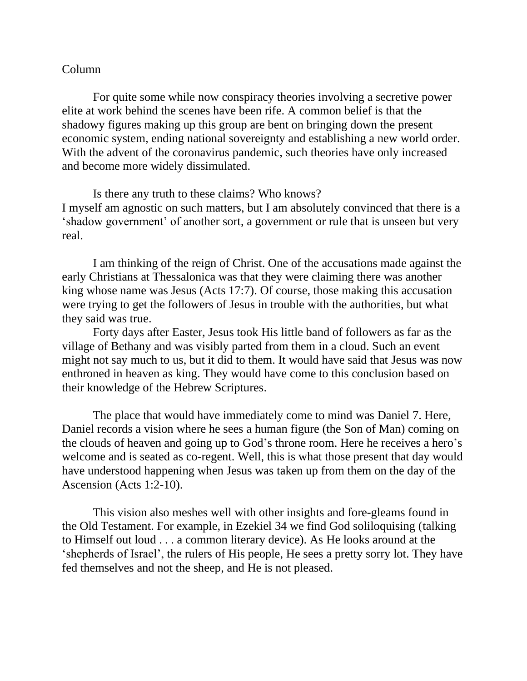## Column

For quite some while now conspiracy theories involving a secretive power elite at work behind the scenes have been rife. A common belief is that the shadowy figures making up this group are bent on bringing down the present economic system, ending national sovereignty and establishing a new world order. With the advent of the coronavirus pandemic, such theories have only increased and become more widely dissimulated.

Is there any truth to these claims? Who knows? I myself am agnostic on such matters, but I am absolutely convinced that there is a 'shadow government' of another sort, a government or rule that is unseen but very real.

I am thinking of the reign of Christ. One of the accusations made against the early Christians at Thessalonica was that they were claiming there was another king whose name was Jesus (Acts 17:7). Of course, those making this accusation were trying to get the followers of Jesus in trouble with the authorities, but what they said was true.

Forty days after Easter, Jesus took His little band of followers as far as the village of Bethany and was visibly parted from them in a cloud. Such an event might not say much to us, but it did to them. It would have said that Jesus was now enthroned in heaven as king. They would have come to this conclusion based on their knowledge of the Hebrew Scriptures.

The place that would have immediately come to mind was Daniel 7. Here, Daniel records a vision where he sees a human figure (the Son of Man) coming on the clouds of heaven and going up to God's throne room. Here he receives a hero's welcome and is seated as co-regent. Well, this is what those present that day would have understood happening when Jesus was taken up from them on the day of the Ascension (Acts 1:2-10).

This vision also meshes well with other insights and fore-gleams found in the Old Testament. For example, in Ezekiel 34 we find God soliloquising (talking to Himself out loud . . . a common literary device). As He looks around at the 'shepherds of Israel', the rulers of His people, He sees a pretty sorry lot. They have fed themselves and not the sheep, and He is not pleased.